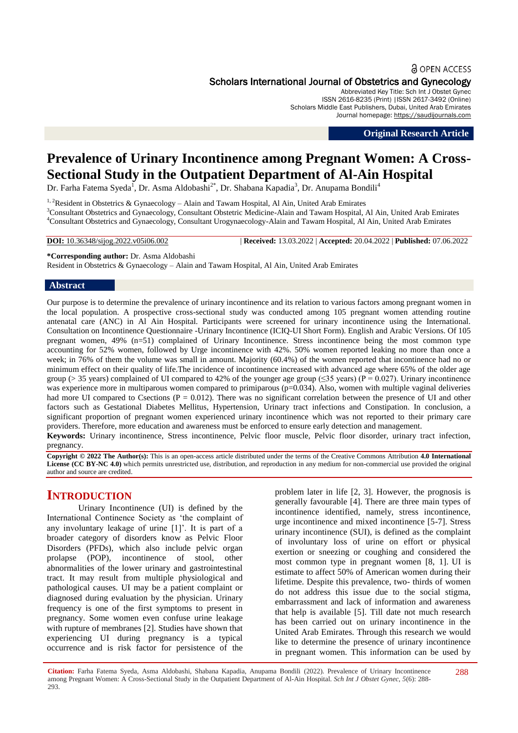#### **a** OPEN ACCESS

## Scholars International Journal of Obstetrics and Gynecology

Abbreviated Key Title: Sch Int J Obstet Gynec ISSN 2616-8235 (Print) |ISSN 2617-3492 (Online) Scholars Middle East Publishers, Dubai, United Arab Emirates Journal homepage: [https://saudijournals.com](https://saudijournals.com/sijog)

**Original Research Article**

# **Prevalence of Urinary Incontinence among Pregnant Women: A Cross-Sectional Study in the Outpatient Department of Al-Ain Hospital**

Dr. Farha Fatema Syeda<sup>1</sup>, Dr. Asma Aldobashi<sup>2\*</sup>, Dr. Shabana Kapadia<sup>3</sup>, Dr. Anupama Bondili<sup>4</sup>

<sup>1, 2</sup>Resident in Obstetrics & Gynaecology - Alain and Tawam Hospital, Al Ain, United Arab Emirates <sup>3</sup>Consultant Obstetrics and Gynaecology, Consultant Obstetric Medicine-Alain and Tawam Hospital, Al Ain, United Arab Emirates <sup>4</sup>Consultant Obstetrics and Gynaecology, Consultant Urogynaecology-Alain and Tawam Hospital, Al Ain, United Arab Emirates

**DOI:** 10.36348/sijog.2022.v05i06.002 | **Received:** 13.03.2022 | **Accepted:** 20.04.2022 | **Published:** 07.06.2022

**\*Corresponding author:** Dr. Asma Aldobashi Resident in Obstetrics & Gynaecology – Alain and Tawam Hospital, Al Ain, United Arab Emirates

#### **Abstract**

Our purpose is to determine the prevalence of urinary incontinence and its relation to various factors among pregnant women in the local population. A prospective cross-sectional study was conducted among 105 pregnant women attending routine antenatal care (ANC) in Al Ain Hospital. Participants were screened for urinary incontinence using the International. Consultation on Incontinence Questionnaire -Urinary Incontinence (ICIQ-UI Short Form). English and Arabic Versions. Of 105 pregnant women, 49% (n=51) complained of Urinary Incontinence. Stress incontinence being the most common type accounting for 52% women, followed by Urge incontinence with 42%. 50% women reported leaking no more than once a week; in 76% of them the volume was small in amount. Majority (60.4%) of the women reported that incontinence had no or minimum effect on their quality of life.The incidence of incontinence increased with advanced age where 65% of the older age group ( $>$  35 years) complained of UI compared to 42% of the younger age group ( $\leq$ 35 years) (P = 0.027). Urinary incontinence was experience more in multiparous women compared to primiparous ( $p=0.034$ ). Also, women with multiple vaginal deliveries had more UI compared to Csections ( $P = 0.012$ ). There was no significant correlation between the presence of UI and other factors such as Gestational Diabetes Mellitus, Hypertension, Urinary tract infections and Constipation. In conclusion, a significant proportion of pregnant women experienced urinary incontinence which was not reported to their primary care providers. Therefore, more education and awareness must be enforced to ensure early detection and management. **Keywords:** Urinary incontinence, Stress incontinence, Pelvic floor muscle, Pelvic floor disorder, urinary tract infection, pregnancy.

**Copyright © 2022 The Author(s):** This is an open-access article distributed under the terms of the Creative Commons Attribution **4.0 International License (CC BY-NC 4.0)** which permits unrestricted use, distribution, and reproduction in any medium for non-commercial use provided the original author and source are credited.

# **INTRODUCTION**

Urinary Incontinence (UI) is defined by the International Continence Society as "the complaint of any involuntary leakage of urine [1]". It is part of a broader category of disorders know as Pelvic Floor Disorders (PFDs), which also include pelvic organ prolapse (POP), incontinence of stool, other abnormalities of the lower urinary and gastrointestinal tract. It may result from multiple physiological and pathological causes. UI may be a patient complaint or diagnosed during evaluation by the physician. Urinary frequency is one of the first symptoms to present in pregnancy. Some women even confuse urine leakage with rupture of membranes [2]. Studies have shown that experiencing UI during pregnancy is a typical occurrence and is risk factor for persistence of the

problem later in life [2, 3]. However, the prognosis is generally favourable [4]. There are three main types of incontinence identified, namely, stress incontinence, urge incontinence and mixed incontinence [5-7]. Stress urinary incontinence (SUI), is defined as the complaint of involuntary loss of urine on effort or physical exertion or sneezing or coughing and considered the most common type in pregnant women [8, 1]. UI is estimate to affect 50% of American women during their lifetime. Despite this prevalence, two- thirds of women do not address this issue due to the social stigma, embarrassment and lack of information and awareness that help is available [5]. Till date not much research has been carried out on urinary incontinence in the United Arab Emirates. Through this research we would like to determine the presence of urinary incontinence in pregnant women. This information can be used by

**Citation:** Farha Fatema Syeda, Asma Aldobashi, Shabana Kapadia, Anupama Bondili (2022). Prevalence of Urinary Incontinence among Pregnant Women: A Cross-Sectional Study in the Outpatient Department of Al-Ain Hospital. *Sch Int J Obstet Gynec, 5*(6): 288- 293.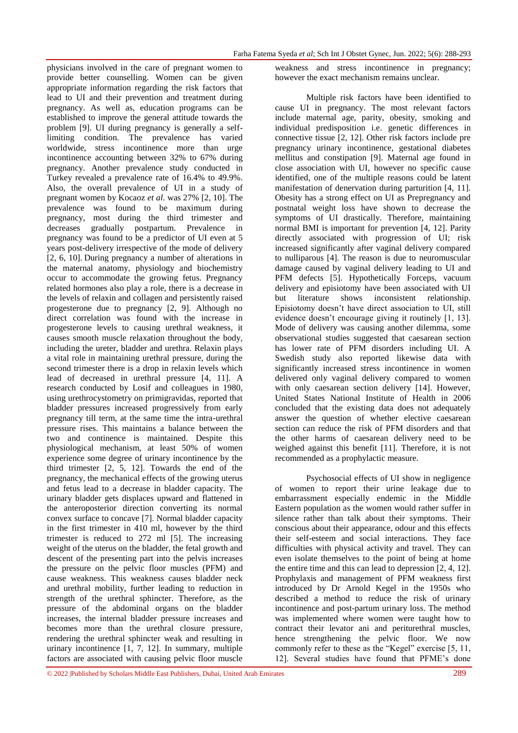physicians involved in the care of pregnant women to provide better counselling. Women can be given appropriate information regarding the risk factors that lead to UI and their prevention and treatment during pregnancy. As well as, education programs can be established to improve the general attitude towards the problem [9]. UI during pregnancy is generally a selflimiting condition. The prevalence has varied worldwide, stress incontinence more than urge incontinence accounting between 32% to 67% during pregnancy. Another prevalence study conducted in Turkey revealed a prevalence rate of 16.4% to 49.9%. Also, the overall prevalence of UI in a study of pregnant women by Kocaoz *et al*. was 27% [2, 10]. The prevalence was found to be maximum during pregnancy, most during the third trimester and decreases gradually postpartum. Prevalence in pregnancy was found to be a predictor of UI even at 5 years post-delivery irrespective of the mode of delivery [2, 6, 10]. During pregnancy a number of alterations in the maternal anatomy, physiology and biochemistry occur to accommodate the growing fetus. Pregnancy related hormones also play a role, there is a decrease in the levels of relaxin and collagen and persistently raised progesterone due to pregnancy [2, 9]. Although no direct correlation was found with the increase in progesterone levels to causing urethral weakness, it causes smooth muscle relaxation throughout the body, including the ureter, bladder and urethra. Relaxin plays a vital role in maintaining urethral pressure, during the second trimester there is a drop in relaxin levels which lead of decreased in urethral pressure [4, 11]. A research conducted by Losif and colleagues in 1980, using urethrocystometry on primigravidas, reported that bladder pressures increased progressively from early pregnancy till term, at the same time the intra-urethral pressure rises. This maintains a balance between the two and continence is maintained. Despite this physiological mechanism, at least 50% of women experience some degree of urinary incontinence by the third trimester [2, 5, 12]. Towards the end of the pregnancy, the mechanical effects of the growing uterus and fetus lead to a decrease in bladder capacity. The urinary bladder gets displaces upward and flattened in the anteroposterior direction converting its normal convex surface to concave [7]. Normal bladder capacity in the first trimester in 410 ml, however by the third trimester is reduced to 272 ml [5]. The increasing weight of the uterus on the bladder, the fetal growth and descent of the presenting part into the pelvis increases the pressure on the pelvic floor muscles (PFM) and cause weakness. This weakness causes bladder neck and urethral mobility, further leading to reduction in strength of the urethral sphincter. Therefore, as the pressure of the abdominal organs on the bladder increases, the internal bladder pressure increases and becomes more than the urethral closure pressure, rendering the urethral sphincter weak and resulting in urinary incontinence [1, 7, 12]. In summary, multiple factors are associated with causing pelvic floor muscle

weakness and stress incontinence in pregnancy; however the exact mechanism remains unclear.

Multiple risk factors have been identified to cause UI in pregnancy. The most relevant factors include maternal age, parity, obesity, smoking and individual predisposition i.e. genetic differences in connective tissue [2, 12]. Other risk factors include pre pregnancy urinary incontinence, gestational diabetes mellitus and constipation [9]. Maternal age found in close association with UI, however no specific cause identified, one of the multiple reasons could be latent manifestation of denervation during parturition [4, 11]. Obesity has a strong effect on UI as Prepregnancy and postnatal weight loss have shown to decrease the symptoms of UI drastically. Therefore, maintaining normal BMI is important for prevention [4, 12]. Parity directly associated with progression of UI; risk increased significantly after vaginal delivery compared to nulliparous [4]. The reason is due to neuromuscular damage caused by vaginal delivery leading to UI and PFM defects [5]. Hypothetically Forceps, vacuum delivery and episiotomy have been associated with UI but literature shows inconsistent relationship. Episiotomy doesn"t have direct association to UI, still evidence doesn't encourage giving it routinely [1, 13]. Mode of delivery was causing another dilemma, some observational studies suggested that caesarean section has lower rate of PFM disorders including UI. A Swedish study also reported likewise data with significantly increased stress incontinence in women delivered only vaginal delivery compared to women with only caesarean section delivery [14]. However, United States National Institute of Health in 2006 concluded that the existing data does not adequately answer the question of whether elective caesarean section can reduce the risk of PFM disorders and that the other harms of caesarean delivery need to be weighed against this benefit [11]. Therefore, it is not recommended as a prophylactic measure.

Psychosocial effects of UI show in negligence of women to report their urine leakage due to embarrassment especially endemic in the Middle Eastern population as the women would rather suffer in silence rather than talk about their symptoms. Their conscious about their appearance, odour and this effects their self-esteem and social interactions. They face difficulties with physical activity and travel. They can even isolate themselves to the point of being at home the entire time and this can lead to depression [2, 4, 12]. Prophylaxis and management of PFM weakness first introduced by Dr Arnold Kegel in the 1950s who described a method to reduce the risk of urinary incontinence and post-partum urinary loss. The method was implemented where women were taught how to contract their levator ani and periturethral muscles, hence strengthening the pelvic floor. We now commonly refer to these as the "Kegel" exercise [5, 11, 12]. Several studies have found that PFME"s done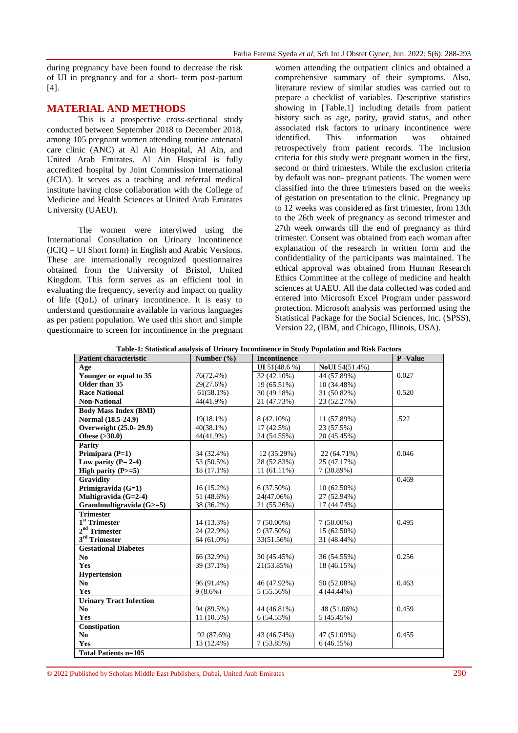during pregnancy have been found to decrease the risk of UI in pregnancy and for a short- term post-partum [4].

# **MATERIAL AND METHODS**

This is a prospective cross-sectional study conducted between September 2018 to December 2018, among 105 pregnant women attending routine antenatal care clinic (ANC) at Al Ain Hospital, Al Ain, and United Arab Emirates. Al Ain Hospital is fully accredited hospital by Joint Commission International (JCIA). It serves as a teaching and referral medical institute having close collaboration with the College of Medicine and Health Sciences at United Arab Emirates University (UAEU).

The women were interviwed using the International Consultation on Urinary Incontinence (ICIQ – UI Short form) in English and Arabic Versions. These are internationally recognized questionnaires obtained from the University of Bristol, United Kingdom. This form serves as an efficient tool in evaluating the frequency, severity and impact on quality of life (QoL) of urinary incontinence. It is easy to understand questionnaire available in various languages as per patient population. We used this short and simple questionnaire to screen for incontinence in the pregnant women attending the outpatient clinics and obtained a comprehensive summary of their symptoms. Also, literature review of similar studies was carried out to prepare a checklist of variables. Descriptive statistics showing in [Table.1] including details from patient history such as age, parity, gravid status, and other associated risk factors to urinary incontinence were identified. This information was obtained retrospectively from patient records. The inclusion criteria for this study were pregnant women in the first, second or third trimesters. While the exclusion criteria by default was non- pregnant patients. The women were classified into the three trimesters based on the weeks of gestation on presentation to the clinic. Pregnancy up to 12 weeks was considered as first trimester, from 13th to the 26th week of pregnancy as second trimester and 27th week onwards till the end of pregnancy as third trimester. Consent was obtained from each woman after explanation of the research in written form and the confidentiality of the participants was maintained. The ethical approval was obtained from Human Research Ethics Committee at the college of medicine and health sciences at UAEU. All the data collected was coded and entered into Microsoft Excel Program under password protection. Microsoft analysis was performed using the Statistical Package for the Social Sciences, Inc. (SPSS), Version 22, (IBM, and Chicago, Illinois, USA).

| <b>Patient characteristic</b>  | Number $(\% )$ | <b>Incontinence</b> |                       | P-Value |
|--------------------------------|----------------|---------------------|-----------------------|---------|
| Age                            |                | UI 51(48.6 %)       | <b>NoUI</b> 54(51.4%) |         |
| Younger or equal to 35         | 76(72.4%)      | 32 (42.10%)         | 44 (57.89%)           | 0.027   |
| Older than 35                  | 29(27.6%)      | 19 (65.51%)         | 10 (34.48%)           |         |
| <b>Race National</b>           | $61(58.1\%)$   | 30 (49.18%)         | 31 (50.82%)           | 0.520   |
| <b>Non-National</b>            | 44(41.9%)      | 21 (47.73%)         | 23 (52.27%)           |         |
| <b>Body Mass Index (BMI)</b>   |                |                     |                       |         |
| Normal (18.5-24.9)             | $19(18.1\%)$   | 8 (42.10%)          | 11 (57.89%)           | .522    |
| Overweight (25.0-29.9)         | $40(38.1\%)$   | $17(42.5\%)$        | 23 (57.5%)            |         |
| Obese $( >30.0)$               | 44(41.9%)      | 24 (54.55%)         | 20 (45.45%)           |         |
| <b>Parity</b>                  |                |                     |                       |         |
| Primipara $(P=1)$              | 34 (32.4%)     | 12 (35.29%)         | 22 (64.71%)           | 0.046   |
| Low parity $(P=2-4)$           | 53 (50.5%)     | 28 (52.83%)         | 25 (47.17%)           |         |
| High parity $(P>=5)$           | 18 (17.1%)     | 11 (61.11%)         | 7 (38.89%)            |         |
| <b>Gravidity</b>               |                |                     |                       | 0.469   |
| Primigravida (G=1)             | $16(15.2\%)$   | $6(37.50\%)$        | $10(62.50\%)$         |         |
| Multigravida $(G=2-4)$         | 51 (48.6%)     | 24(47.06%)          | 27 (52.94%)           |         |
| Grandmultigravida (G>=5)       | 38 (36.2%)     | 21 (55.26%)         | 17 (44.74%)           |         |
| <b>Trimester</b>               |                |                     |                       |         |
| $1st$ Trimester                | 14 (13.3%)     | $7(50.00\%)$        | $7(50.00\%)$          | 0.495   |
| $2nd$ Trimester                | 24 (22.9%)     | $9(37.50\%)$        | 15 (62.50%)           |         |
| 3 <sup>rd</sup> Trimester      | 64 (61.0%)     | 33(51.56%)          | 31 (48.44%)           |         |
| <b>Gestational Diabetes</b>    |                |                     |                       |         |
| No.                            | 66 (32.9%)     | 30 (45.45%)         | 36 (54.55%)           | 0.256   |
| Yes                            | 39 (37.1%)     | 21(53.85%)          | 18 (46.15%)           |         |
| <b>Hypertension</b>            |                |                     |                       |         |
| No                             | 96 (91.4%)     | 46 (47.92%)         | 50 (52.08%)           | 0.463   |
| Yes                            | $9(8.6\%)$     | 5 (55.56%)          | 4 (44.44%)            |         |
| <b>Urinary Tract Infection</b> |                |                     |                       |         |
| No                             | 94 (89.5%)     | 44 (46.81%)         | 48 (51.06%)           | 0.459   |
| Yes                            | $11(10.5\%)$   | 6(54.55%)           | 5(45.45%)             |         |
| Constipation                   |                |                     |                       |         |
| No.                            | 92 (87.6%)     | 43 (46.74%)         | 47 (51.09%)           | 0.455   |
| Yes                            | 13 (12.4%)     | 7(53.85%)           | 6(46.15%)             |         |
| <b>Total Patients n=105</b>    |                |                     |                       |         |

**Table-1: Statistical analysis of Urinary Incontinence in Study Population and Risk Factors**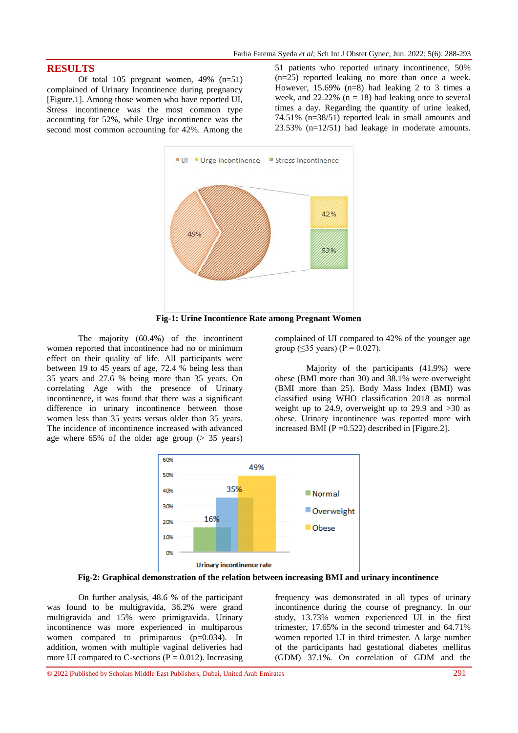## **RESULTS**

Of total 105 pregnant women, 49% (n=51) complained of Urinary Incontinence during pregnancy [Figure.1]. Among those women who have reported UI, Stress incontinence was the most common type accounting for 52%, while Urge incontinence was the second most common accounting for 42%. Among the

51 patients who reported urinary incontinence, 50% (n=25) reported leaking no more than once a week. However,  $15.69\%$  (n=8) had leaking 2 to 3 times a week, and  $22.22\%$  (n = 18) had leaking once to several times a day. Regarding the quantity of urine leaked, 74.51% (n=38/51) reported leak in small amounts and 23.53% (n=12/51) had leakage in moderate amounts.



**Fig-1: Urine Incontience Rate among Pregnant Women**

The majority (60.4%) of the incontinent women reported that incontinence had no or minimum effect on their quality of life. All participants were between 19 to 45 years of age, 72.4 % being less than 35 years and 27.6 % being more than 35 years. On correlating Age with the presence of Urinary incontinence, it was found that there was a significant difference in urinary incontinence between those women less than 35 years versus older than 35 years. The incidence of incontinence increased with advanced age where 65% of the older age group (> 35 years)

complained of UI compared to 42% of the younger age group ( $\leq$ 35 years) (P = 0.027).

Majority of the participants (41.9%) were obese (BMI more than 30) and 38.1% were overweight (BMI more than 25). Body Mass Index (BMI) was classified using WHO classification 2018 as normal weight up to 24.9, overweight up to 29.9 and  $>30$  as obese. Urinary incontinence was reported more with increased BMI ( $P = 0.522$ ) described in [Figure.2].



**Fig-2: Graphical demonstration of the relation between increasing BMI and urinary incontinence**

On further analysis, 48.6 % of the participant was found to be multigravida, 36.2% were grand multigravida and 15% were primigravida. Urinary incontinence was more experienced in multiparous women compared to primiparous  $(p=0.034)$ . In addition, women with multiple vaginal deliveries had more UI compared to C-sections ( $P = 0.012$ ). Increasing

frequency was demonstrated in all types of urinary incontinence during the course of pregnancy. In our study, 13.73% women experienced UI in the first trimester, 17.65% in the second trimester and 64.71% women reported UI in third trimester. A large number of the participants had gestational diabetes mellitus (GDM) 37.1%. On correlation of GDM and the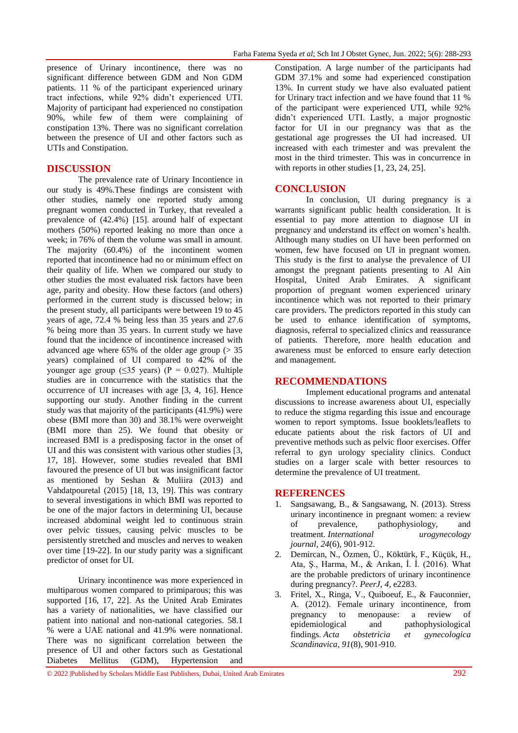presence of Urinary incontinence, there was no significant difference between GDM and Non GDM patients. 11 % of the participant experienced urinary tract infections, while 92% didn"t experienced UTI. Majority of participant had experienced no constipation 90%, while few of them were complaining of constipation 13%. There was no significant correlation between the presence of UI and other factors such as UTIs and Constipation.

# **DISCUSSION**

The prevalence rate of Urinary Incontience in our study is 49%.These findings are consistent with other studies, namely one reported study among pregnant women conducted in Turkey, that revealed a prevalence of (42.4%) [15]. around half of expectant mothers (50%) reported leaking no more than once a week; in 76% of them the volume was small in amount. The majority (60.4%) of the incontinent women reported that incontinence had no or minimum effect on their quality of life. When we compared our study to other studies the most evaluated risk factors have been age, parity and obesity. How these factors (and others) performed in the current study is discussed below; in the present study, all participants were between 19 to 45 years of age, 72.4 % being less than 35 years and 27.6 % being more than 35 years. In current study we have found that the incidence of incontinence increased with advanced age where  $65\%$  of the older age group ( $> 35$ ) years) complained of UI compared to 42% of the younger age group ( $\leq$ 35 years) (P = 0.027). Multiple studies are in concurrence with the statistics that the occurrence of UI increases with age [3, 4, 16]. Hence supporting our study. Another finding in the current study was that majority of the participants (41.9%) were obese (BMI more than 30) and 38.1% were overweight (BMI more than 25). We found that obesity or increased BMI is a predisposing factor in the onset of UI and this was consistent with various other studies [3, 17, 18]. However, some studies revealed that BMI favoured the presence of UI but was insignificant factor as mentioned by Seshan & Muliira (2013) and Vahdatpouretal (2015) [18, 13, 19]. This was contrary to several investigations in which BMI was reported to be one of the major factors in determining UI, because increased abdominal weight led to continuous strain over pelvic tissues, causing pelvic muscles to be persistently stretched and muscles and nerves to weaken over time [19-22]. In our study parity was a significant predictor of onset for UI.

Urinary incontinence was more experienced in multiparous women compared to primiparous; this was supported [16, 17, 22]. As the United Arab Emirates has a variety of nationalities, we have classified our patient into national and non-national categories. 58.1 % were a UAE national and 41.9% were nonnational. There was no significant correlation between the presence of UI and other factors such as Gestational Diabetes Mellitus (GDM), Hypertension and

Constipation. A large number of the participants had GDM 37.1% and some had experienced constipation 13%. In current study we have also evaluated patient for Urinary tract infection and we have found that 11 % of the participant were experienced UTI, while 92% didn"t experienced UTI. Lastly, a major prognostic factor for UI in our pregnancy was that as the gestational age progresses the UI had increased. UI increased with each trimester and was prevalent the most in the third trimester. This was in concurrence in with reports in other studies [1, 23, 24, 25].

## **CONCLUSION**

In conclusion, UI during pregnancy is a warrants significant public health consideration. It is essential to pay more attention to diagnose UI in pregnancy and understand its effect on women"s health. Although many studies on UI have been performed on women, few have focused on UI in pregnant women. This study is the first to analyse the prevalence of UI amongst the pregnant patients presenting to Al Ain Hospital, United Arab Emirates. A significant proportion of pregnant women experienced urinary incontinence which was not reported to their primary care providers. The predictors reported in this study can be used to enhance identification of symptoms, diagnosis, referral to specialized clinics and reassurance of patients. Therefore, more health education and awareness must be enforced to ensure early detection and management.

#### **RECOMMENDATIONS**

Implement educational programs and antenatal discussions to increase awareness about UI, especially to reduce the stigma regarding this issue and encourage women to report symptoms. Issue booklets/leaflets to educate patients about the risk factors of UI and preventive methods such as pelvic floor exercises. Offer referral to gyn urology speciality clinics. Conduct studies on a larger scale with better resources to determine the prevalence of UI treatment.

#### **REFERENCES**

- 1. Sangsawang, B., & Sangsawang, N. (2013). Stress urinary incontinence in pregnant women: a review of prevalence, pathophysiology, and treatment. *International urogynecology journal*, *24*(6), 901-912.
- 2. Demircan, N., Özmen, Ü., Köktürk, F., Küçük, H., Ata, Ş., Harma, M., & Arıkan, İ. İ. (2016). What are the probable predictors of urinary incontinence during pregnancy?. *PeerJ*, *4*, e2283.
- 3. Fritel, X., Ringa, V., Quiboeuf, E., & Fauconnier, A. (2012). Female urinary incontinence, from pregnancy to menopause: a review of epidemiological and pathophysiological findings. *Acta obstetricia et gynecologica Scandinavica*, *91*(8), 901-910.